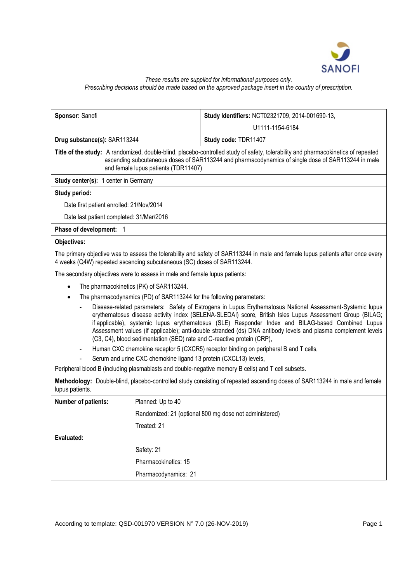

# *These results are supplied for informational purposes only. Prescribing decisions should be made based on the approved package insert in the country of prescription.*

| Sponsor: Sanofi                                                                                                                                                                                                                                                                 |                                                                  | Study Identifiers: NCT02321709, 2014-001690-13,                                                                                                                                                                                                                                                                                                                                                                                                                                                                       |  |  |  |
|---------------------------------------------------------------------------------------------------------------------------------------------------------------------------------------------------------------------------------------------------------------------------------|------------------------------------------------------------------|-----------------------------------------------------------------------------------------------------------------------------------------------------------------------------------------------------------------------------------------------------------------------------------------------------------------------------------------------------------------------------------------------------------------------------------------------------------------------------------------------------------------------|--|--|--|
|                                                                                                                                                                                                                                                                                 |                                                                  | U1111-1154-6184                                                                                                                                                                                                                                                                                                                                                                                                                                                                                                       |  |  |  |
| Drug substance(s): SAR113244                                                                                                                                                                                                                                                    |                                                                  | Study code: TDR11407                                                                                                                                                                                                                                                                                                                                                                                                                                                                                                  |  |  |  |
| Title of the study: A randomized, double-blind, placebo-controlled study of safety, tolerability and pharmacokinetics of repeated<br>ascending subcutaneous doses of SAR113244 and pharmacodynamics of single dose of SAR113244 in male<br>and female lupus patients (TDR11407) |                                                                  |                                                                                                                                                                                                                                                                                                                                                                                                                                                                                                                       |  |  |  |
| Study center(s): 1 center in Germany                                                                                                                                                                                                                                            |                                                                  |                                                                                                                                                                                                                                                                                                                                                                                                                                                                                                                       |  |  |  |
| Study period:                                                                                                                                                                                                                                                                   |                                                                  |                                                                                                                                                                                                                                                                                                                                                                                                                                                                                                                       |  |  |  |
| Date first patient enrolled: 21/Nov/2014                                                                                                                                                                                                                                        |                                                                  |                                                                                                                                                                                                                                                                                                                                                                                                                                                                                                                       |  |  |  |
|                                                                                                                                                                                                                                                                                 | Date last patient completed: 31/Mar/2016                         |                                                                                                                                                                                                                                                                                                                                                                                                                                                                                                                       |  |  |  |
| Phase of development: 1                                                                                                                                                                                                                                                         |                                                                  |                                                                                                                                                                                                                                                                                                                                                                                                                                                                                                                       |  |  |  |
| Objectives:                                                                                                                                                                                                                                                                     |                                                                  |                                                                                                                                                                                                                                                                                                                                                                                                                                                                                                                       |  |  |  |
| 4 weeks (Q4W) repeated ascending subcutaneous (SC) doses of SAR113244.                                                                                                                                                                                                          |                                                                  | The primary objective was to assess the tolerability and safety of SAR113244 in male and female lupus patients after once every                                                                                                                                                                                                                                                                                                                                                                                       |  |  |  |
| The secondary objectives were to assess in male and female lupus patients:                                                                                                                                                                                                      |                                                                  |                                                                                                                                                                                                                                                                                                                                                                                                                                                                                                                       |  |  |  |
|                                                                                                                                                                                                                                                                                 | The pharmacokinetics (PK) of SAR113244.                          |                                                                                                                                                                                                                                                                                                                                                                                                                                                                                                                       |  |  |  |
| The pharmacodynamics (PD) of SAR113244 for the following parameters:<br>$\bullet$                                                                                                                                                                                               |                                                                  |                                                                                                                                                                                                                                                                                                                                                                                                                                                                                                                       |  |  |  |
|                                                                                                                                                                                                                                                                                 |                                                                  | Disease-related parameters: Safety of Estrogens in Lupus Erythematosus National Assessment-Systemic lupus<br>erythematosus disease activity index (SELENA-SLEDAI) score, British Isles Lupus Assessment Group (BILAG;<br>if applicable), systemic lupus erythematosus (SLE) Responder Index and BILAG-based Combined Lupus<br>Assessment values (if applicable); anti-double stranded (ds) DNA antibody levels and plasma complement levels<br>(C3, C4), blood sedimentation (SED) rate and C-reactive protein (CRP), |  |  |  |
|                                                                                                                                                                                                                                                                                 |                                                                  | Human CXC chemokine receptor 5 (CXCR5) receptor binding on peripheral B and T cells,                                                                                                                                                                                                                                                                                                                                                                                                                                  |  |  |  |
|                                                                                                                                                                                                                                                                                 | Serum and urine CXC chemokine ligand 13 protein (CXCL13) levels, |                                                                                                                                                                                                                                                                                                                                                                                                                                                                                                                       |  |  |  |
|                                                                                                                                                                                                                                                                                 |                                                                  | Peripheral blood B (including plasmablasts and double-negative memory B cells) and T cell subsets.                                                                                                                                                                                                                                                                                                                                                                                                                    |  |  |  |
| lupus patients.                                                                                                                                                                                                                                                                 |                                                                  | Methodology: Double-blind, placebo-controlled study consisting of repeated ascending doses of SAR113244 in male and female                                                                                                                                                                                                                                                                                                                                                                                            |  |  |  |
| Number of patients:                                                                                                                                                                                                                                                             | Planned: Up to 40                                                |                                                                                                                                                                                                                                                                                                                                                                                                                                                                                                                       |  |  |  |
|                                                                                                                                                                                                                                                                                 |                                                                  | Randomized: 21 (optional 800 mg dose not administered)                                                                                                                                                                                                                                                                                                                                                                                                                                                                |  |  |  |
|                                                                                                                                                                                                                                                                                 | Treated: 21                                                      |                                                                                                                                                                                                                                                                                                                                                                                                                                                                                                                       |  |  |  |
| Evaluated:                                                                                                                                                                                                                                                                      |                                                                  |                                                                                                                                                                                                                                                                                                                                                                                                                                                                                                                       |  |  |  |
|                                                                                                                                                                                                                                                                                 | Safety: 21                                                       |                                                                                                                                                                                                                                                                                                                                                                                                                                                                                                                       |  |  |  |
|                                                                                                                                                                                                                                                                                 | Pharmacokinetics: 15                                             |                                                                                                                                                                                                                                                                                                                                                                                                                                                                                                                       |  |  |  |
|                                                                                                                                                                                                                                                                                 | Pharmacodynamics: 21                                             |                                                                                                                                                                                                                                                                                                                                                                                                                                                                                                                       |  |  |  |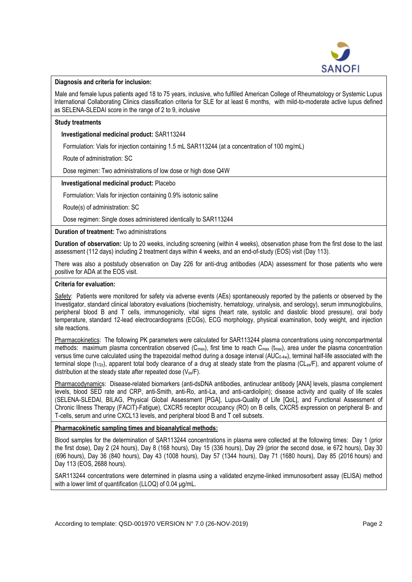

### **Diagnosis and criteria for inclusion:**

Male and female lupus patients aged 18 to 75 years, inclusive, who fulfilled American College of Rheumatology or Systemic Lupus International Collaborating Clinics classification criteria for SLE for at least 6 months, with mild-to-moderate active lupus defined as SELENA-SLEDAI score in the range of 2 to 9, inclusive

### **Study treatments**

## **Investigational medicinal product:** SAR113244

Formulation: Vials for injection containing 1.5 mL SAR113244 (at a concentration of 100 mg/mL)

Route of administration: SC

Dose regimen: Two administrations of low dose or high dose Q4W

### **Investigational medicinal product:** Placebo

Formulation: Vials for injection containing 0.9% isotonic saline

Route(s) of administration: SC

Dose regimen: Single doses administered identically to SAR113244

### **Duration of treatment:** Two administrations

**Duration of observation:** Up to 20 weeks, including screening (within 4 weeks), observation phase from the first dose to the last assessment (112 days) including 2 treatment days within 4 weeks, and an end-of-study (EOS) visit (Day 113).

There was also a poststudy observation on Day 226 for anti-drug antibodies (ADA) assessment for those patients who were positive for ADA at the EOS visit.

### **Criteria for evaluation:**

Safety: Patients were monitored for safety via adverse events (AEs) spontaneously reported by the patients or observed by the Investigator, standard clinical laboratory evaluations (biochemistry, hematology, urinalysis, and serology), serum immunoglobulins, peripheral blood B and T cells, immunogenicity, vital signs (heart rate, systolic and diastolic blood pressure), oral body temperature, standard 12-lead electrocardiograms (ECGs), ECG morphology, physical examination, body weight, and injection site reactions.

Pharmacokinetics: The following PK parameters were calculated for SAR113244 plasma concentrations using noncompartmental methods: maximum plasma concentration observed (C<sub>max</sub>), first time to reach C<sub>max</sub> (t<sub>max</sub>), area under the plasma concentration versus time curve calculated using the trapezoidal method during a dosage interval (AUC<sub>0-4w</sub>), terminal half-life associated with the terminal slope ( $t_{1/2z}$ ), apparent total body clearance of a drug at steady state from the plasma (CL<sub>ss</sub>/F), and apparent volume of distribution at the steady state after repeated dose  $(V_{ss}/F)$ .

Pharmacodynamics: Disease-related biomarkers (anti-dsDNA antibodies, antinuclear antibody [ANA] levels, plasma complement levels, blood SED rate and CRP, anti-Smith, anti-Ro, anti-La, and anti-cardiolipin); disease activity and quality of life scales (SELENA-SLEDAI, BILAG, Physical Global Assessment [PGA], Lupus-Quality of Life [QoL], and Functional Assessment of Chronic Illness Therapy (FACIT)-Fatigue), CXCR5 receptor occupancy (RO) on B cells, CXCR5 expression on peripheral B- and T-cells, serum and urine CXCL13 levels, and peripheral blood B and T cell subsets.

## **Pharmacokinetic sampling times and bioanalytical methods:**

Blood samples for the determination of SAR113244 concentrations in plasma were collected at the following times: Day 1 (prior the first dose), Day 2 (24 hours), Day 8 (168 hours), Day 15 (336 hours), Day 29 (prior the second dose, ie 672 hours), Day 30 (696 hours), Day 36 (840 hours), Day 43 (1008 hours), Day 57 (1344 hours), Day 71 (1680 hours), Day 85 (2016 hours) and Day 113 (EOS, 2688 hours).

SAR113244 concentrations were determined in plasma using a validated enzyme-linked immunosorbent assay (ELISA) method with a lower limit of quantification (LLOQ) of 0.04 μg/mL.

According to template: QSD-001970 VERSION N° 7.0 (26-NOV-2019) Page 2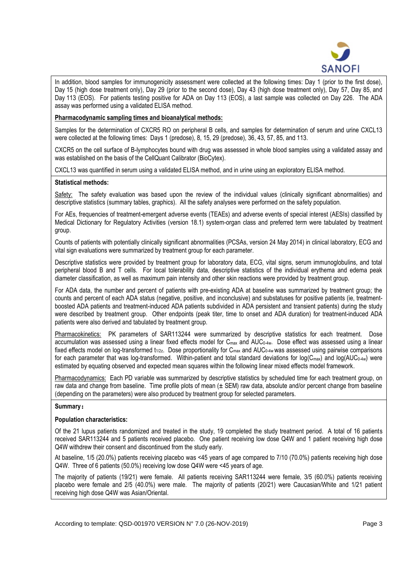

In addition, blood samples for immunogenicity assessment were collected at the following times: Day 1 (prior to the first dose), Day 15 (high dose treatment only), Day 29 (prior to the second dose), Day 43 (high dose treatment only), Day 57, Day 85, and Day 113 (EOS). For patients testing positive for ADA on Day 113 (EOS), a last sample was collected on Day 226. The ADA assay was performed using a validated ELISA method.

### **Pharmacodynamic sampling times and bioanalytical methods:**

Samples for the determination of CXCR5 RO on peripheral B cells, and samples for determination of serum and urine CXCL13 were collected at the following times: Days 1 (predose), 8, 15, 29 (predose), 36, 43, 57, 85, and 113.

CXCR5 on the cell surface of B-lymphocytes bound with drug was assessed in whole blood samples using a validated assay and was established on the basis of the CellQuant Calibrator (BioCytex).

CXCL13 was quantified in serum using a validated ELISA method, and in urine using an exploratory ELISA method.

#### **Statistical methods:**

Safety: The safety evaluation was based upon the review of the individual values (clinically significant abnormalities) and descriptive statistics (summary tables, graphics). All the safety analyses were performed on the safety population.

For AEs, frequencies of treatment-emergent adverse events (TEAEs) and adverse events of special interest (AESIs) classified by Medical Dictionary for Regulatory Activities (version 18.1) system-organ class and preferred term were tabulated by treatment group.

Counts of patients with potentially clinically significant abnormalities (PCSAs, version 24 May 2014) in clinical laboratory, ECG and vital sign evaluations were summarized by treatment group for each parameter.

Descriptive statistics were provided by treatment group for laboratory data, ECG, vital signs, serum immunoglobulins, and total peripheral blood B and T cells. For local tolerability data, descriptive statistics of the individual erythema and edema peak diameter classification, as well as maximum pain intensity and other skin reactions were provided by treatment group.

For ADA data, the number and percent of patients with pre-existing ADA at baseline was summarized by treatment group; the counts and percent of each ADA status (negative, positive, and inconclusive) and substatuses for positive patients (ie, treatmentboosted ADA patients and treatment-induced ADA patients subdivided in ADA persistent and transient patients) during the study were described by treatment group. Other endpoints (peak titer, time to onset and ADA duration) for treatment-induced ADA patients were also derived and tabulated by treatment group.

Pharmacokinetics: PK parameters of SAR113244 were summarized by descriptive statistics for each treatment. Dose accumulation was assessed using a linear fixed effects model for C<sub>max</sub> and AUC<sub>0-4w</sub>. Dose effect was assessed using a linear fixed effects model on log-transformed  $t_{1/2z}$ . Dose proportionality for C<sub>max</sub> and AUC<sub>0-4w</sub> was assessed using pairwise comparisons for each parameter that was log-transformed. Within-patient and total standard deviations for log( $C_{\text{max}}$ ) and log( $AUC_{0-4w}$ ) were estimated by equating observed and expected mean squares within the following linear mixed effects model framework.

Pharmacodynamics: Each PD variable was summarized by descriptive statistics by scheduled time for each treatment group, on raw data and change from baseline. Time profile plots of mean  $(\pm SEM)$  raw data, absolute and/or percent change from baseline (depending on the parameters) were also produced by treatment group for selected parameters.

## **Summary:**

#### **Population characteristics:**

Of the 21 lupus patients randomized and treated in the study, 19 completed the study treatment period. A total of 16 patients received SAR113244 and 5 patients received placebo. One patient receiving low dose Q4W and 1 patient receiving high dose Q4W withdrew their consent and discontinued from the study early.

At baseline, 1/5 (20.0%) patients receiving placebo was <45 years of age compared to 7/10 (70.0%) patients receiving high dose Q4W. Three of 6 patients (50.0%) receiving low dose Q4W were <45 years of age.

The majority of patients (19/21) were female. All patients receiving SAR113244 were female, 3/5 (60.0%) patients receiving placebo were female and 2/5 (40.0%) were male. The majority of patients (20/21) were Caucasian/White and 1/21 patient receiving high dose Q4W was Asian/Oriental.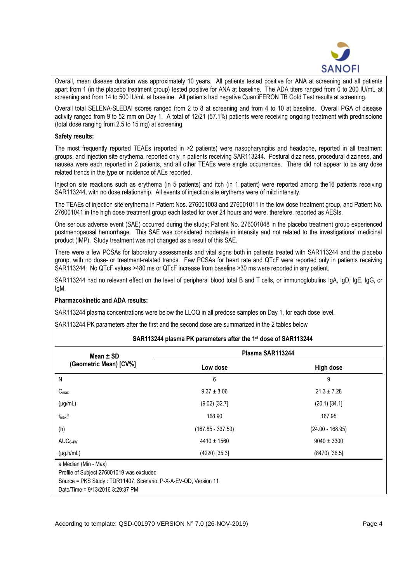

Overall, mean disease duration was approximately 10 years. All patients tested positive for ANA at screening and all patients apart from 1 (in the placebo treatment group) tested positive for ANA at baseline. The ADA titers ranged from 0 to 200 IU/mL at screening and from 14 to 500 IU/mL at baseline. All patients had negative QuantiFERON TB Gold Test results at screening.

Overall total SELENA-SLEDAI scores ranged from 2 to 8 at screening and from 4 to 10 at baseline. Overall PGA of disease activity ranged from 9 to 52 mm on Day 1. A total of 12/21 (57.1%) patients were receiving ongoing treatment with prednisolone (total dose ranging from 2.5 to 15 mg) at screening.

### **Safety results:**

The most frequently reported TEAEs (reported in >2 patients) were nasopharyngitis and headache, reported in all treatment groups, and injection site erythema, reported only in patients receiving SAR113244. Postural dizziness, procedural dizziness, and nausea were each reported in 2 patients, and all other TEAEs were single occurrences. There did not appear to be any dose related trends in the type or incidence of AEs reported.

Injection site reactions such as erythema (in 5 patients) and itch (in 1 patient) were reported among the16 patients receiving SAR113244, with no dose relationship. All events of injection site erythema were of mild intensity.

The TEAEs of injection site erythema in Patient Nos. 276001003 and 276001011 in the low dose treatment group, and Patient No. 276001041 in the high dose treatment group each lasted for over 24 hours and were, therefore, reported as AESIs.

One serious adverse event (SAE) occurred during the study; Patient No. 276001048 in the placebo treatment group experienced postmenopausal hemorrhage. This SAE was considered moderate in intensity and not related to the investigational medicinal product (IMP). Study treatment was not changed as a result of this SAE.

There were a few PCSAs for laboratory assessments and vital signs both in patients treated with SAR113244 and the placebo group, with no dose- or treatment-related trends. Few PCSAs for heart rate and QTcF were reported only in patients receiving SAR113244. No QTcF values >480 ms or QTcF increase from baseline >30 ms were reported in any patient.

SAR113244 had no relevant effect on the level of peripheral blood total B and T cells, or immunoglobulins IgA, IgD, IgE, IgG, or IgM.

## **Pharmacokinetic and ADA results:**

SAR113244 plasma concentrations were below the LLOQ in all predose samples on Day 1, for each dose level.

SAR113244 PK parameters after the first and the second dose are summarized in the 2 tables below

## **SAR113244 plasma PK parameters after the 1st dose of SAR113244**

| Mean $\pm$ SD          | Plasma SAR113244    |                    |  |
|------------------------|---------------------|--------------------|--|
| (Geometric Mean) [CV%] | Low dose            | <b>High dose</b>   |  |
| N                      | 6                   | 9                  |  |
| C <sub>max</sub>       | $9.37 \pm 3.06$     | $21.3 \pm 7.28$    |  |
| $(\mu g/mL)$           | $(9.02)$ [32.7]     | $(20.1)$ [34.1]    |  |
| $t_{\rm max}$ a        | 168.90              | 167.95             |  |
| (h)                    | $(167.85 - 337.53)$ | $(24.00 - 168.95)$ |  |
| $AUC0-4W$              | $4410 \pm 1560$     | $9040 \pm 3300$    |  |
| $(\mu g.h/mL)$         | $(4220)$ [35.3]     | $(8470)$ [36.5]    |  |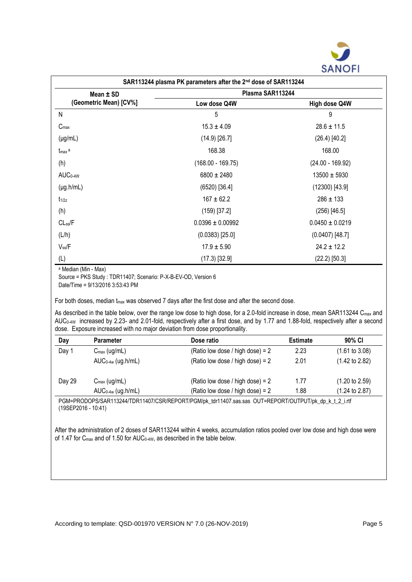

| SAR113244 plasma PK parameters after the 2nd dose of SAR113244 |                      |                     |  |  |
|----------------------------------------------------------------|----------------------|---------------------|--|--|
| Mean ± SD                                                      | Plasma SAR113244     |                     |  |  |
| (Geometric Mean) [CV%]                                         | Low dose Q4W         | High dose Q4W       |  |  |
| ${\sf N}$                                                      | 5                    | 9                   |  |  |
| $C_{\text{max}}$                                               | $15.3 \pm 4.09$      | $28.6 \pm 11.5$     |  |  |
| $(\mu g/mL)$                                                   | $(14.9)$ [26.7]      | $(26.4)$ [40.2]     |  |  |
| $t_{\text{max}}$ a                                             | 168.38               | 168.00              |  |  |
| (h)                                                            | $(168.00 - 169.75)$  | $(24.00 - 169.92)$  |  |  |
| AUC <sub>0-4W</sub>                                            | $6800 \pm 2480$      | $13500 \pm 5930$    |  |  |
| $(\mu g.h/mL)$                                                 | $(6520)$ [36.4]      | $(12300)$ [43.9]    |  |  |
| $t_{1/2z}$                                                     | $167 \pm 62.2$       | $286 \pm 133$       |  |  |
| (h)                                                            | $(159)$ [37.2]       | $(256)$ [46.5]      |  |  |
| $CL_{ss}/F$                                                    | $0.0396 \pm 0.00992$ | $0.0450 \pm 0.0219$ |  |  |
| (L/h)                                                          | $(0.0383)$ [25.0]    | $(0.0407)$ [48.7]   |  |  |
| $V_{ss}$ /F                                                    | $17.9 \pm 5.90$      | $24.2 \pm 12.2$     |  |  |
| (L)                                                            | $(17.3)$ [32.9]      | $(22.2)$ [50.3]     |  |  |

<sup>a</sup> Median (Min - Max)

Source = PKS Study : TDR11407; Scenario: P-X-B-EV-OD, Version 6

Date/Time = 9/13/2016 3:53:43 PM

For both doses, median t<sub>max</sub> was observed 7 days after the first dose and after the second dose.

As described in the table below, over the range low dose to high dose, for a 2.0-fold increase in dose, mean SAR113244 Cmax and AUC0-4W increased by 2.23- and 2.01-fold, respectively after a first dose, and by 1.77 and 1.88-fold, respectively after a second dose. Exposure increased with no major deviation from dose proportionality.

| Day    | <b>Parameter</b>         | Dose ratio                         | <b>Estimate</b> | 90% CI                    |
|--------|--------------------------|------------------------------------|-----------------|---------------------------|
| Day 1  | $C_{\text{max}}$ (ug/mL) | (Ratio low dose / high dose) = $2$ | 2.23            | $(1.61 \text{ to } 3.08)$ |
|        | $AUC_{0-4w}$ (ug.h/mL)   | (Ratio low dose / high dose) = $2$ | 2.01            | $(1.42 \text{ to } 2.82)$ |
| Day 29 | $C_{\text{max}}$ (ug/mL) | (Ratio low dose / high dose) = $2$ | 1.77            | $(1.20 \text{ to } 2.59)$ |
|        | $AUC_{0-4w}$ (ug.h/mL)   | (Ratio low dose / high dose) = 2   | 1.88            | $(1.24 \text{ to } 2.87)$ |

PGM=PRODOPS/SAR113244/TDR11407/CSR/REPORT/PGM/pk\_tdr11407.sas.sas OUT=REPORT/OUTPUT/pk\_dp\_k\_t\_2\_i.rtf (19SEP2016 - 10:41)

After the administration of 2 doses of SAR113244 within 4 weeks, accumulation ratios pooled over low dose and high dose were of 1.47 for C<sub>max</sub> and of 1.50 for AUC<sub>0-4W</sub>, as described in the table below.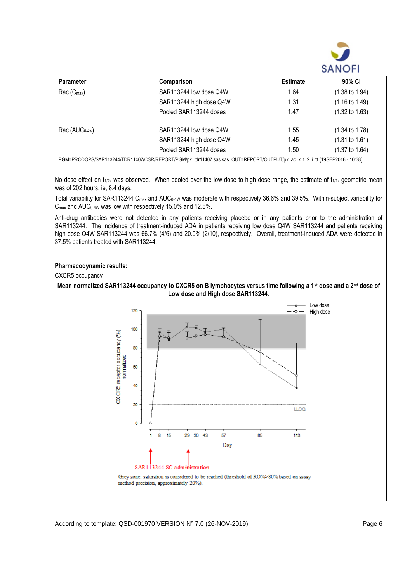

| <b>Parameter</b> | Comparison              | <b>Estimate</b> | 90% CI                    |
|------------------|-------------------------|-----------------|---------------------------|
| $Rac(C_{max})$   | SAR113244 low dose Q4W  | 1.64            | $(1.38 \text{ to } 1.94)$ |
|                  | SAR113244 high dose Q4W | 1.31            | $(1.16 \text{ to } 1.49)$ |
|                  | Pooled SAR113244 doses  | 1.47            | $(1.32 \text{ to } 1.63)$ |
| $Rac (AUC0-4w)$  | SAR113244 low dose Q4W  | 1.55            | $(1.34 \text{ to } 1.78)$ |
|                  | SAR113244 high dose Q4W | 1.45            | $(1.31 \text{ to } 1.61)$ |
|                  | Pooled SAR113244 doses  | 1.50            | $(1.37 \text{ to } 1.64)$ |

PGM=PRODOPS/SAR113244/TDR11407/CSR/REPORT/PGM/pk\_tdr11407.sas.sas OUT=REPORT/OUTPUT/pk\_ac\_k\_t\_2\_i.rtf (19SEP2016 - 10:38)

No dose effect on t<sub>1/2z</sub> was observed. When pooled over the low dose to high dose range, the estimate of t<sub>1/2z</sub> geometric mean was of 202 hours, ie, 8.4 days.

Total variability for SAR113244 C<sub>max</sub> and AUC<sub>0-4W</sub> was moderate with respectively 36.6% and 39.5%. Within-subject variability for  $C_{\text{max}}$  and AUC<sub>0-4W</sub> was low with respectively 15.0% and 12.5%.

Anti-drug antibodies were not detected in any patients receiving placebo or in any patients prior to the administration of SAR113244. The incidence of treatment-induced ADA in patients receiving low dose Q4W SAR113244 and patients receiving high dose Q4W SAR113244 was 66.7% (4/6) and 20.0% (2/10), respectively. Overall, treatment-induced ADA were detected in 37.5% patients treated with SAR113244.

## **Pharmacodynamic results:**

#### CXCR5 occupancy



According to template: QSD-001970 VERSION N° 7.0 (26-NOV-2019) Page 6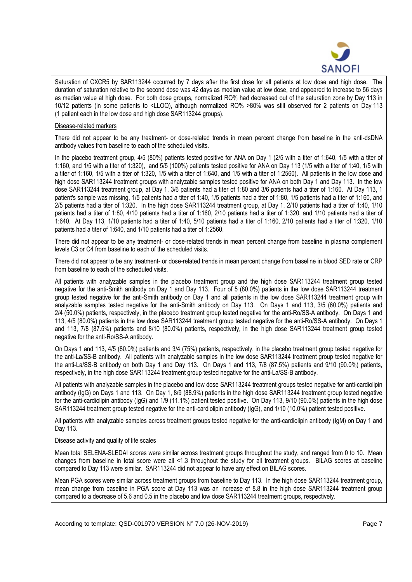

Saturation of CXCR5 by SAR113244 occurred by 7 days after the first dose for all patients at low dose and high dose. The duration of saturation relative to the second dose was 42 days as median value at low dose, and appeared to increase to 56 days as median value at high dose. For both dose groups, normalized RO% had decreased out of the saturation zone by Day 113 in 10/12 patients (in some patients to <LLOQ), although normalized RO% >80% was still observed for 2 patients on Day 113 (1 patient each in the low dose and high dose SAR113244 groups).

## Disease-related markers

There did not appear to be any treatment- or dose-related trends in mean percent change from baseline in the anti-dsDNA antibody values from baseline to each of the scheduled visits.

In the placebo treatment group, 4/5 (80%) patients tested positive for ANA on Day 1 (2/5 with a titer of 1:640, 1/5 with a titer of 1:160, and 1/5 with a titer of 1:320), and 5/5 (100%) patients tested positive for ANA on Day 113 (1/5 with a titer of 1:40, 1/5 with a titer of 1:160, 1/5 with a titer of 1:320, 1/5 with a titer of 1:640, and 1/5 with a titer of 1:2560). All patients in the low dose and high dose SAR113244 treatment groups with analyzable samples tested positive for ANA on both Day 1 and Day 113. In the low dose SAR113244 treatment group, at Day 1, 3/6 patients had a titer of 1:80 and 3/6 patients had a titer of 1:160. At Day 113, 1 patient's sample was missing, 1/5 patients had a titer of 1:40, 1/5 patients had a titer of 1:80, 1/5 patients had a titer of 1:160, and 2/5 patients had a titer of 1:320. In the high dose SAR113244 treatment group, at Day 1, 2/10 patients had a titer of 1:40, 1/10 patients had a titer of 1:80, 4/10 patients had a titer of 1:160, 2/10 patients had a titer of 1:320, and 1/10 patients had a titer of 1:640. At Day 113, 1/10 patients had a titer of 1:40, 5/10 patients had a titer of 1:160, 2/10 patients had a titer of 1:320, 1/10 patients had a titer of 1:640, and 1/10 patients had a titer of 1:2560.

There did not appear to be any treatment- or dose-related trends in mean percent change from baseline in plasma complement levels C3 or C4 from baseline to each of the scheduled visits.

There did not appear to be any treatment- or dose-related trends in mean percent change from baseline in blood SED rate or CRP from baseline to each of the scheduled visits.

All patients with analyzable samples in the placebo treatment group and the high dose SAR113244 treatment group tested negative for the anti-Smith antibody on Day 1 and Day 113. Four of 5 (80.0%) patients in the low dose SAR113244 treatment group tested negative for the anti-Smith antibody on Day 1 and all patients in the low dose SAR113244 treatment group with analyzable samples tested negative for the anti-Smith antibody on Day 113. On Days 1 and 113, 3/5 (60.0%) patients and 2/4 (50.0%) patients, respectively, in the placebo treatment group tested negative for the anti-Ro/SS-A antibody. On Days 1 and 113, 4/5 (80.0%) patients in the low dose SAR113244 treatment group tested negative for the anti-Ro/SS-A antibody. On Days 1 and 113, 7/8 (87.5%) patients and 8/10 (80.0%) patients, respectively, in the high dose SAR113244 treatment group tested negative for the anti-Ro/SS-A antibody.

On Days 1 and 113, 4/5 (80.0%) patients and 3/4 (75%) patients, respectively, in the placebo treatment group tested negative for the anti-La/SS-B antibody. All patients with analyzable samples in the low dose SAR113244 treatment group tested negative for the anti-La/SS-B antibody on both Day 1 and Day 113. On Days 1 and 113, 7/8 (87.5%) patients and 9/10 (90.0%) patients, respectively, in the high dose SAR113244 treatment group tested negative for the anti-La/SS-B antibody.

All patients with analyzable samples in the placebo and low dose SAR113244 treatment groups tested negative for anti-cardiolipin antibody (IgG) on Days 1 and 113. On Day 1, 8/9 (88.9%) patients in the high dose SAR113244 treatment group tested negative for the anti-cardiolipin antibody (IgG) and 1/9 (11.1%) patient tested positive. On Day 113, 9/10 (90.0%) patients in the high dose SAR113244 treatment group tested negative for the anti-cardiolipin antibody (IgG), and 1/10 (10.0%) patient tested positive.

All patients with analyzable samples across treatment groups tested negative for the anti-cardiolipin antibody (IgM) on Day 1 and Day 113.

## Disease activity and quality of life scales

Mean total SELENA-SLEDAI scores were similar across treatment groups throughout the study, and ranged from 0 to 10. Mean changes from baseline in total score were all <1.3 throughout the study for all treatment groups. BILAG scores at baseline compared to Day 113 were similar. SAR113244 did not appear to have any effect on BILAG scores.

Mean PGA scores were similar across treatment groups from baseline to Day 113. In the high dose SAR113244 treatment group, mean change from baseline in PGA score at Day 113 was an increase of 8.8 in the high dose SAR113244 treatment group compared to a decrease of 5.6 and 0.5 in the placebo and low dose SAR113244 treatment groups, respectively.